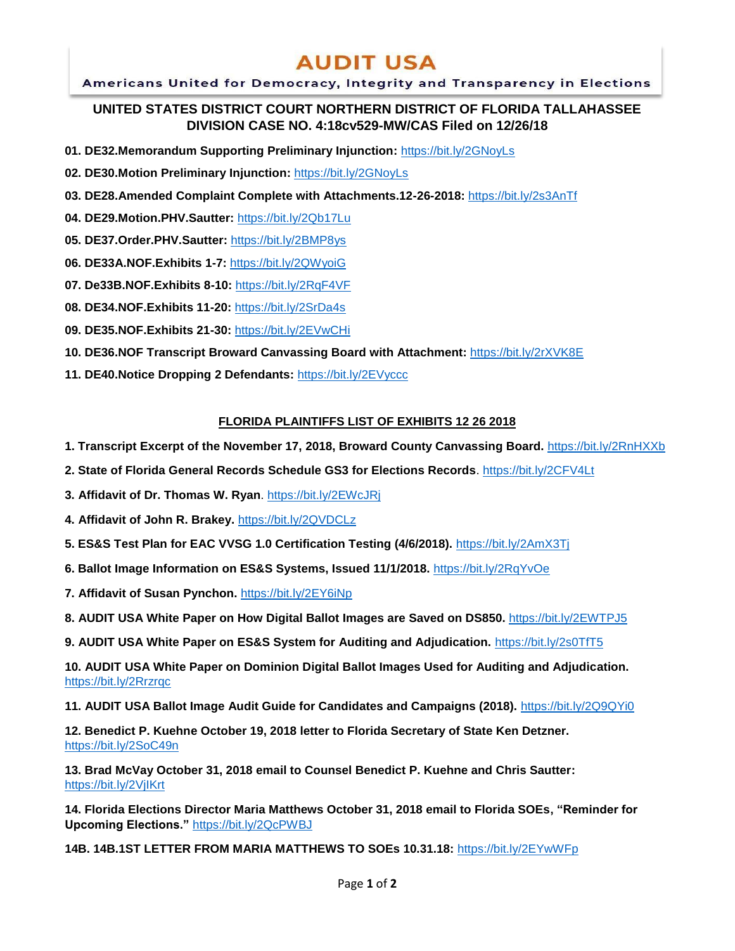# **AUDIT USA**

### Americans United for Democracy, Integrity and Transparency in Elections

## **UNITED STATES DISTRICT COURT NORTHERN DISTRICT OF FLORIDA TALLAHASSEE DIVISION CASE NO. 4:18cv529-MW/CAS Filed on 12/26/18**

- **01. DE32.Memorandum Supporting Preliminary Injunction:** <https://bit.ly/2GNoyLs>
- **02. DE30.Motion Preliminary Injunction:** <https://bit.ly/2GNoyLs>
- **03. DE28.Amended Complaint Complete with Attachments.12-26-2018:** https://bit.ly/2s3AnTf
- **04. DE29.Motion.PHV.Sautter:** <https://bit.ly/2Qb17Lu>
- **05. DE37.Order.PHV.Sautter:** https://bit.ly/2BMP8ys
- **06. DE33A.NOF.Exhibits 1-7:** https://bit.ly/2QWyoiG
- **07. De33B.NOF.Exhibits 8-10:** https://bit.ly/2RqF4VF
- **08. DE34.NOF.Exhibits 11-20:** https://bit.ly/2SrDa4s
- **09. DE35.NOF.Exhibits 21-30:** https://bit.ly/2EVwCHi
- **10. DE36.NOF Transcript Broward Canvassing Board with Attachment:** https://bit.ly/2rXVK8E
- **11. DE40.Notice Dropping 2 Defendants:** https://bit.ly/2EVyccc

### **FLORIDA PLAINTIFFS LIST OF EXHIBITS 12 26 2018**

- **1. Transcript Excerpt of the November 17, 2018, Broward County Canvassing Board.** https://bit.ly/2RnHXXb
- **2. State of Florida General Records Schedule GS3 for Elections Records**. https://bit.ly/2CFV4Lt
- **3. Affidavit of Dr. Thomas W. Ryan**. https://bit.ly/2EWcJRj
- **4. Affidavit of John R. Brakey.** https://bit.ly/2QVDCLz
- **5. ES&S Test Plan for EAC VVSG 1.0 Certification Testing (4/6/2018).** https://bit.ly/2AmX3Tj
- **6. Ballot Image Information on ES&S Systems, Issued 11/1/2018.** https://bit.ly/2RqYvOe
- **7. Affidavit of Susan Pynchon.** https://bit.ly/2EY6iNp

**8. AUDIT USA White Paper on How Digital Ballot Images are Saved on DS850.** https://bit.ly/2EWTPJ5

**9. AUDIT USA White Paper on ES&S System for Auditing and Adjudication.** https://bit.ly/2s0TfT5

**10. AUDIT USA White Paper on Dominion Digital Ballot Images Used for Auditing and Adjudication.**  https://bit.ly/2Rrzrqc

**11. AUDIT USA Ballot Image Audit Guide for Candidates and Campaigns (2018).** https://bit.ly/2Q9QYi0

**12. Benedict P. Kuehne October 19, 2018 letter to Florida Secretary of State Ken Detzner.** https://bit.ly/2SoC49n

**13. Brad McVay October 31, 2018 email to Counsel Benedict P. Kuehne and Chris Sautter:**  <https://bit.ly/2VjIKrt>

**14. Florida Elections Director Maria Matthews October 31, 2018 email to Florida SOEs, "Reminder for Upcoming Elections."** https://bit.ly/2QcPWBJ

**14B. 14B.1ST LETTER FROM MARIA MATTHEWS TO SOEs 10.31.18:** https://bit.ly/2EYwWFp